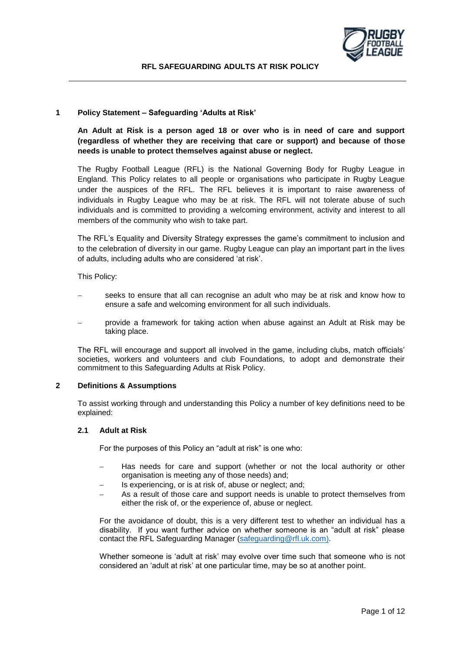

## **1 Policy Statement – Safeguarding 'Adults at Risk'**

**An Adult at Risk is a person aged 18 or over who is in need of care and support (regardless of whether they are receiving that care or support) and because of those needs is unable to protect themselves against abuse or neglect.** 

The Rugby Football League (RFL) is the National Governing Body for Rugby League in England. This Policy relates to all people or organisations who participate in Rugby League under the auspices of the RFL. The RFL believes it is important to raise awareness of individuals in Rugby League who may be at risk. The RFL will not tolerate abuse of such individuals and is committed to providing a welcoming environment, activity and interest to all members of the community who wish to take part.

The RFL's Equality and Diversity Strategy expresses the game's commitment to inclusion and to the celebration of diversity in our game. Rugby League can play an important part in the lives of adults, including adults who are considered 'at risk'.

This Policy:

- seeks to ensure that all can recognise an adult who may be at risk and know how to ensure a safe and welcoming environment for all such individuals.
- provide a framework for taking action when abuse against an Adult at Risk may be taking place.

The RFL will encourage and support all involved in the game, including clubs, match officials' societies, workers and volunteers and club Foundations, to adopt and demonstrate their commitment to this Safeguarding Adults at Risk Policy.

### **2 Definitions & Assumptions**

To assist working through and understanding this Policy a number of key definitions need to be explained:

#### **2.1 Adult at Risk**

For the purposes of this Policy an "adult at risk" is one who:

- Has needs for care and support (whether or not the local authority or other organisation is meeting any of those needs) and;
- Is experiencing, or is at risk of, abuse or neglect; and;
- As a result of those care and support needs is unable to protect themselves from either the risk of, or the experience of, abuse or neglect.

For the avoidance of doubt, this is a very different test to whether an individual has a disability. If you want further advice on whether someone is an "adult at risk" please contact the RFL Safeguarding Manager [\(safeguarding@rfl.uk.com\)](mailto:safeguarding@rfl.uk.com).

Whether someone is 'adult at risk' may evolve over time such that someone who is not considered an 'adult at risk' at one particular time, may be so at another point.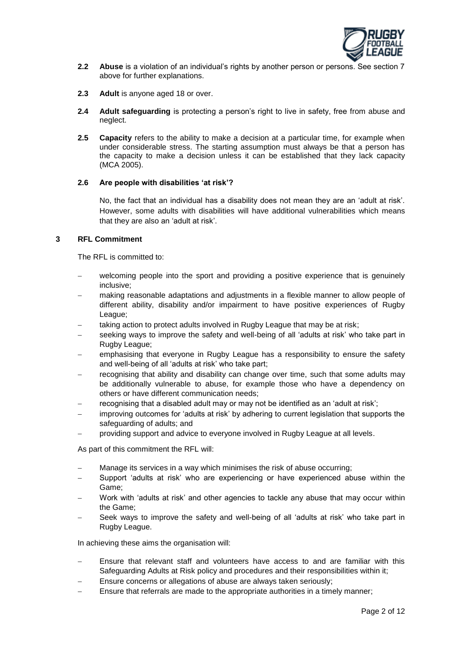

- **2.2 Abuse** is a violation of an individual's rights by another person or persons. See section 7 above for further explanations.
- **2.3 Adult** is anyone aged 18 or over.
- **2.4 Adult safeguarding** is protecting a person's right to live in safety, free from abuse and neglect.
- **2.5 Capacity** refers to the ability to make a decision at a particular time, for example when under considerable stress. The starting assumption must always be that a person has the capacity to make a decision unless it can be established that they lack capacity (MCA 2005).

#### **2.6 Are people with disabilities 'at risk'?**

No, the fact that an individual has a disability does not mean they are an 'adult at risk'. However, some adults with disabilities will have additional vulnerabilities which means that they are also an 'adult at risk'.

#### **3 RFL Commitment**

The RFL is committed to:

- welcoming people into the sport and providing a positive experience that is genuinely inclusive;
- making reasonable adaptations and adjustments in a flexible manner to allow people of different ability, disability and/or impairment to have positive experiences of Rugby League;
- taking action to protect adults involved in Rugby League that may be at risk;
- seeking ways to improve the safety and well-being of all 'adults at risk' who take part in Rugby League;
- emphasising that everyone in Rugby League has a responsibility to ensure the safety and well-being of all 'adults at risk' who take part;
- recognising that ability and disability can change over time, such that some adults may be additionally vulnerable to abuse, for example those who have a dependency on others or have different communication needs;
- recognising that a disabled adult may or may not be identified as an 'adult at risk';
- improving outcomes for 'adults at risk' by adhering to current legislation that supports the safeguarding of adults; and
- providing support and advice to everyone involved in Rugby League at all levels.

As part of this commitment the RFL will:

- Manage its services in a way which minimises the risk of abuse occurring;
- Support 'adults at risk' who are experiencing or have experienced abuse within the Game;
- Work with 'adults at risk' and other agencies to tackle any abuse that may occur within the Game;
- Seek ways to improve the safety and well-being of all 'adults at risk' who take part in Rugby League.

In achieving these aims the organisation will:

- Ensure that relevant staff and volunteers have access to and are familiar with this Safeguarding Adults at Risk policy and procedures and their responsibilities within it;
- Ensure concerns or allegations of abuse are always taken seriously;
- Ensure that referrals are made to the appropriate authorities in a timely manner;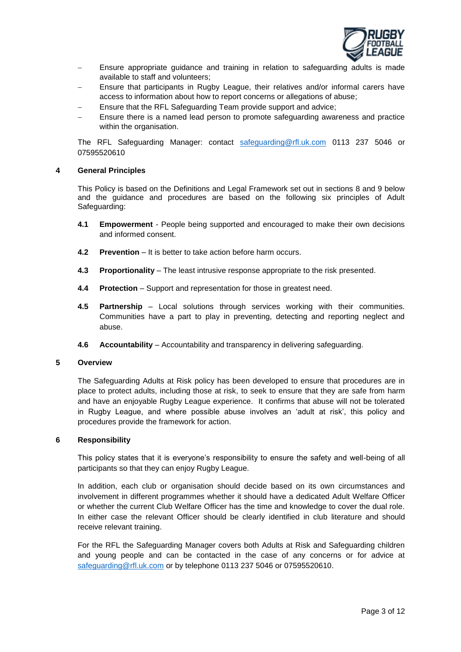

- Ensure appropriate guidance and training in relation to safeguarding adults is made available to staff and volunteers;
- Ensure that participants in Rugby League, their relatives and/or informal carers have access to information about how to report concerns or allegations of abuse;
- Ensure that the RFL Safeguarding Team provide support and advice;
- Ensure there is a named lead person to promote safeguarding awareness and practice within the organisation.

The RFL Safeguarding Manager: contact [safeguarding@rfl.uk.com](mailto:safeguarding@rfl.uk.com) 0113 237 5046 or 07595520610

#### **4 General Principles**

This Policy is based on the Definitions and Legal Framework set out in sections 8 and 9 below and the guidance and procedures are based on the following six principles of Adult Safeguarding:

- **4.1 Empowerment** People being supported and encouraged to make their own decisions and informed consent.
- **4.2 Prevention** It is better to take action before harm occurs.
- **4.3 Proportionality** The least intrusive response appropriate to the risk presented.
- **4.4 Protection** Support and representation for those in greatest need.
- **4.5 Partnership** Local solutions through services working with their communities. Communities have a part to play in preventing, detecting and reporting neglect and abuse.
- **4.6 Accountability** Accountability and transparency in delivering safeguarding.

#### **5 Overview**

The Safeguarding Adults at Risk policy has been developed to ensure that procedures are in place to protect adults, including those at risk, to seek to ensure that they are safe from harm and have an enjoyable Rugby League experience. It confirms that abuse will not be tolerated in Rugby League, and where possible abuse involves an 'adult at risk', this policy and procedures provide the framework for action.

#### **6 Responsibility**

This policy states that it is everyone's responsibility to ensure the safety and well-being of all participants so that they can enjoy Rugby League.

In addition, each club or organisation should decide based on its own circumstances and involvement in different programmes whether it should have a dedicated Adult Welfare Officer or whether the current Club Welfare Officer has the time and knowledge to cover the dual role. In either case the relevant Officer should be clearly identified in club literature and should receive relevant training.

For the RFL the Safeguarding Manager covers both Adults at Risk and Safeguarding children and young people and can be contacted in the case of any concerns or for advice at [safeguarding@rfl.uk.com](mailto:safeguarding@rfl.uk.com) or by telephone 0113 237 5046 or 07595520610.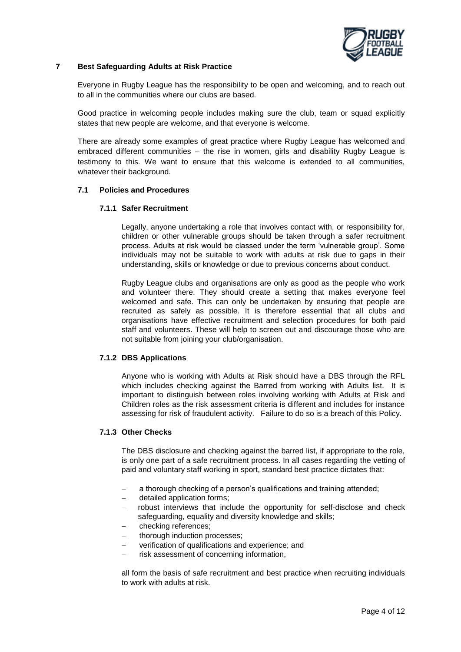

# **7 Best Safeguarding Adults at Risk Practice**

Everyone in Rugby League has the responsibility to be open and welcoming, and to reach out to all in the communities where our clubs are based.

Good practice in welcoming people includes making sure the club, team or squad explicitly states that new people are welcome, and that everyone is welcome.

There are already some examples of great practice where Rugby League has welcomed and embraced different communities – the rise in women, girls and disability Rugby League is testimony to this. We want to ensure that this welcome is extended to all communities, whatever their background.

## **7.1 Policies and Procedures**

## **7.1.1 Safer Recruitment**

Legally, anyone undertaking a role that involves contact with, or responsibility for, children or other vulnerable groups should be taken through a safer recruitment process. Adults at risk would be classed under the term 'vulnerable group'. Some individuals may not be suitable to work with adults at risk due to gaps in their understanding, skills or knowledge or due to previous concerns about conduct.

Rugby League clubs and organisations are only as good as the people who work and volunteer there. They should create a setting that makes everyone feel welcomed and safe. This can only be undertaken by ensuring that people are recruited as safely as possible. It is therefore essential that all clubs and organisations have effective recruitment and selection procedures for both paid staff and volunteers. These will help to screen out and discourage those who are not suitable from joining your club/organisation.

#### **7.1.2 DBS Applications**

Anyone who is working with Adults at Risk should have a DBS through the RFL which includes checking against the Barred from working with Adults list. It is important to distinguish between roles involving working with Adults at Risk and Children roles as the risk assessment criteria is different and includes for instance assessing for risk of fraudulent activity. Failure to do so is a breach of this Policy.

# **7.1.3 Other Checks**

The DBS disclosure and checking against the barred list, if appropriate to the role, is only one part of a safe recruitment process. In all cases regarding the vetting of paid and voluntary staff working in sport, standard best practice dictates that:

- a thorough checking of a person's qualifications and training attended;
- detailed application forms;
- robust interviews that include the opportunity for self-disclose and check safeguarding, equality and diversity knowledge and skills;
- checking references;
- thorough induction processes;
- verification of qualifications and experience; and
- risk assessment of concerning information,

all form the basis of safe recruitment and best practice when recruiting individuals to work with adults at risk.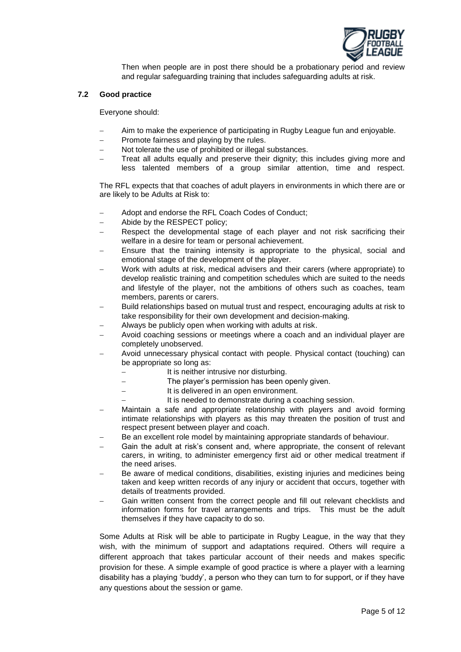

Then when people are in post there should be a probationary period and review and regular safeguarding training that includes safeguarding adults at risk.

### **7.2 Good practice**

Everyone should:

- Aim to make the experience of participating in Rugby League fun and enjoyable.
- Promote fairness and playing by the rules.
- Not tolerate the use of prohibited or illegal substances.
- Treat all adults equally and preserve their dignity; this includes giving more and less talented members of a group similar attention, time and respect.

The RFL expects that that coaches of adult players in environments in which there are or are likely to be Adults at Risk to:

- Adopt and endorse the RFL Coach Codes of Conduct;
- Abide by the RESPECT policy;
- Respect the developmental stage of each player and not risk sacrificing their welfare in a desire for team or personal achievement.
- Ensure that the training intensity is appropriate to the physical, social and emotional stage of the development of the player.
- Work with adults at risk, medical advisers and their carers (where appropriate) to develop realistic training and competition schedules which are suited to the needs and lifestyle of the player, not the ambitions of others such as coaches, team members, parents or carers.
- Build relationships based on mutual trust and respect, encouraging adults at risk to take responsibility for their own development and decision-making.
- Always be publicly open when working with adults at risk.
- Avoid coaching sessions or meetings where a coach and an individual player are completely unobserved.
- Avoid unnecessary physical contact with people. Physical contact (touching) can be appropriate so long as:
	- It is neither intrusive nor disturbing.
	- The player's permission has been openly given.
		- It is delivered in an open environment.
		- It is needed to demonstrate during a coaching session.
- Maintain a safe and appropriate relationship with players and avoid forming intimate relationships with players as this may threaten the position of trust and respect present between player and coach.
- Be an excellent role model by maintaining appropriate standards of behaviour.
- Gain the adult at risk's consent and, where appropriate, the consent of relevant carers, in writing, to administer emergency first aid or other medical treatment if the need arises.
- Be aware of medical conditions, disabilities, existing injuries and medicines being taken and keep written records of any injury or accident that occurs, together with details of treatments provided.
- Gain written consent from the correct people and fill out relevant checklists and information forms for travel arrangements and trips. This must be the adult themselves if they have capacity to do so.

Some Adults at Risk will be able to participate in Rugby League, in the way that they wish, with the minimum of support and adaptations required. Others will require a different approach that takes particular account of their needs and makes specific provision for these. A simple example of good practice is where a player with a learning disability has a playing 'buddy', a person who they can turn to for support, or if they have any questions about the session or game.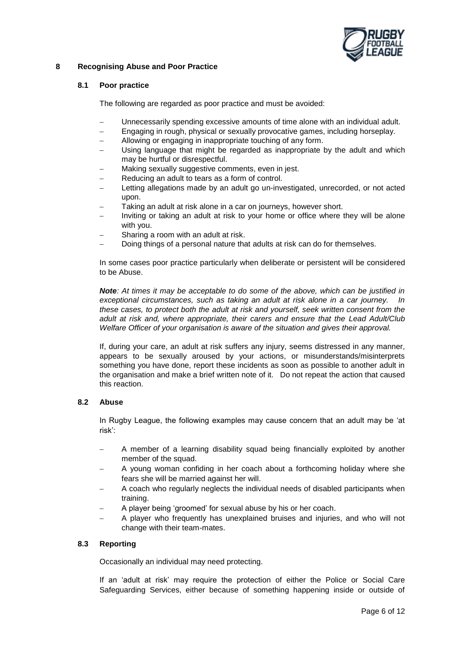

# **8 Recognising Abuse and Poor Practice**

# **8.1 Poor practice**

The following are regarded as poor practice and must be avoided:

- Unnecessarily spending excessive amounts of time alone with an individual adult.
- Engaging in rough, physical or sexually provocative games, including horseplay.
- Allowing or engaging in inappropriate touching of any form.
- Using language that might be regarded as inappropriate by the adult and which may be hurtful or disrespectful.
- Making sexually suggestive comments, even in jest.
- Reducing an adult to tears as a form of control.
- Letting allegations made by an adult go un-investigated, unrecorded, or not acted upon.
- Taking an adult at risk alone in a car on journeys, however short.
- Inviting or taking an adult at risk to your home or office where they will be alone with you.
- Sharing a room with an adult at risk.
- Doing things of a personal nature that adults at risk can do for themselves.

In some cases poor practice particularly when deliberate or persistent will be considered to be Abuse.

*Note: At times it may be acceptable to do some of the above, which can be justified in exceptional circumstances, such as taking an adult at risk alone in a car journey. In these cases, to protect both the adult at risk and yourself, seek written consent from the adult at risk and, where appropriate, their carers and ensure that the Lead Adult/Club Welfare Officer of your organisation is aware of the situation and gives their approval.* 

If, during your care, an adult at risk suffers any injury, seems distressed in any manner, appears to be sexually aroused by your actions, or misunderstands/misinterprets something you have done, report these incidents as soon as possible to another adult in the organisation and make a brief written note of it. Do not repeat the action that caused this reaction.

#### **8.2 Abuse**

In Rugby League, the following examples may cause concern that an adult may be 'at risk':

- A member of a learning disability squad being financially exploited by another member of the squad.
- A young woman confiding in her coach about a forthcoming holiday where she fears she will be married against her will.
- A coach who regularly neglects the individual needs of disabled participants when training.
- A player being 'groomed' for sexual abuse by his or her coach.
- A player who frequently has unexplained bruises and injuries, and who will not change with their team-mates.

# **8.3 Reporting**

Occasionally an individual may need protecting.

If an 'adult at risk' may require the protection of either the Police or Social Care Safeguarding Services, either because of something happening inside or outside of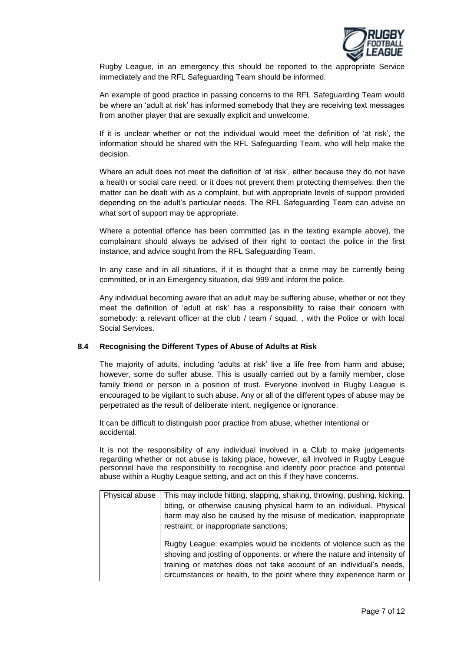

Rugby League, in an emergency this should be reported to the appropriate Service immediately and the RFL Safeguarding Team should be informed.

An example of good practice in passing concerns to the RFL Safeguarding Team would be where an 'adult at risk' has informed somebody that they are receiving text messages from another player that are sexually explicit and unwelcome.

If it is unclear whether or not the individual would meet the definition of 'at risk', the information should be shared with the RFL Safeguarding Team, who will help make the decision.

Where an adult does not meet the definition of 'at risk', either because they do not have a health or social care need, or it does not prevent them protecting themselves, then the matter can be dealt with as a complaint, but with appropriate levels of support provided depending on the adult's particular needs. The RFL Safeguarding Team can advise on what sort of support may be appropriate.

Where a potential offence has been committed (as in the texting example above), the complainant should always be advised of their right to contact the police in the first instance, and advice sought from the RFL Safeguarding Team.

In any case and in all situations, if it is thought that a crime may be currently being committed, or in an Emergency situation, dial 999 and inform the police.

Any individual becoming aware that an adult may be suffering abuse, whether or not they meet the definition of 'adult at risk' has a responsibility to raise their concern with somebody: a relevant officer at the club / team / squad, , with the Police or with local Social Services.

#### **8.4 Recognising the Different Types of Abuse of Adults at Risk**

The majority of adults, including 'adults at risk' live a life free from harm and abuse; however, some do suffer abuse. This is usually carried out by a family member, close family friend or person in a position of trust. Everyone involved in Rugby League is encouraged to be vigilant to such abuse. Any or all of the different types of abuse may be perpetrated as the result of deliberate intent, negligence or ignorance.

It can be difficult to distinguish poor practice from abuse, whether intentional or accidental.

It is not the responsibility of any individual involved in a Club to make judgements regarding whether or not abuse is taking place, however, all involved in Rugby League personnel have the responsibility to recognise and identify poor practice and potential abuse within a Rugby League setting, and act on this if they have concerns.

| Physical abuse | This may include hitting, slapping, shaking, throwing, pushing, kicking, |
|----------------|--------------------------------------------------------------------------|
|                | biting, or otherwise causing physical harm to an individual. Physical    |
|                | harm may also be caused by the misuse of medication, inappropriate       |
|                | restraint, or inappropriate sanctions;                                   |
|                | Rugby League: examples would be incidents of violence such as the        |
|                | shoving and jostling of opponents, or where the nature and intensity of  |
|                | training or matches does not take account of an individual's needs,      |
|                | circumstances or health, to the point where they experience harm or      |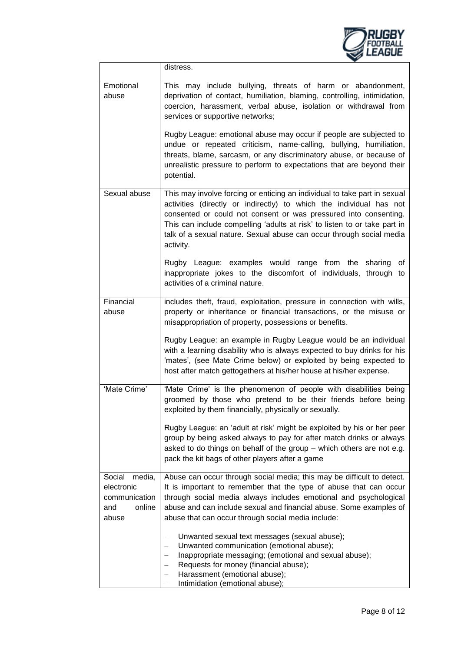

|                                                                           | distress.                                                                                                                                                                                                                                                                                                                                                                                                                                                                                                                                                                                                                                                                                               |
|---------------------------------------------------------------------------|---------------------------------------------------------------------------------------------------------------------------------------------------------------------------------------------------------------------------------------------------------------------------------------------------------------------------------------------------------------------------------------------------------------------------------------------------------------------------------------------------------------------------------------------------------------------------------------------------------------------------------------------------------------------------------------------------------|
| Emotional<br>abuse                                                        | This may include bullying, threats of harm or abandonment,<br>deprivation of contact, humiliation, blaming, controlling, intimidation,<br>coercion, harassment, verbal abuse, isolation or withdrawal from<br>services or supportive networks;<br>Rugby League: emotional abuse may occur if people are subjected to<br>undue or repeated criticism, name-calling, bullying, humiliation,<br>threats, blame, sarcasm, or any discriminatory abuse, or because of<br>unrealistic pressure to perform to expectations that are beyond their<br>potential.                                                                                                                                                 |
| Sexual abuse                                                              | This may involve forcing or enticing an individual to take part in sexual<br>activities (directly or indirectly) to which the individual has not<br>consented or could not consent or was pressured into consenting.<br>This can include compelling 'adults at risk' to listen to or take part in<br>talk of a sexual nature. Sexual abuse can occur through social media<br>activity.<br>Rugby League: examples would range from the sharing<br>of<br>inappropriate jokes to the discomfort of individuals, through to<br>activities of a criminal nature.                                                                                                                                             |
| Financial<br>abuse                                                        | includes theft, fraud, exploitation, pressure in connection with wills,<br>property or inheritance or financial transactions, or the misuse or<br>misappropriation of property, possessions or benefits.<br>Rugby League: an example in Rugby League would be an individual<br>with a learning disability who is always expected to buy drinks for his<br>'mates', (see Mate Crime below) or exploited by being expected to<br>host after match gettogethers at his/her house at his/her expense.                                                                                                                                                                                                       |
| 'Mate Crime'                                                              | 'Mate Crime' is the phenomenon of people with disabilities being<br>groomed by those who pretend to be their friends before being<br>exploited by them financially, physically or sexually.<br>Rugby League: an 'adult at risk' might be exploited by his or her peer<br>group by being asked always to pay for after match drinks or always<br>asked to do things on behalf of the group - which others are not e.g.<br>pack the kit bags of other players after a game                                                                                                                                                                                                                                |
| Social<br>media,<br>electronic<br>communication<br>online<br>and<br>abuse | Abuse can occur through social media; this may be difficult to detect.<br>It is important to remember that the type of abuse that can occur<br>through social media always includes emotional and psychological<br>abuse and can include sexual and financial abuse. Some examples of<br>abuse that can occur through social media include:<br>Unwanted sexual text messages (sexual abuse);<br>$\overline{\phantom{0}}$<br>Unwanted communication (emotional abuse);<br>$\overline{\phantom{0}}$<br>Inappropriate messaging; (emotional and sexual abuse);<br>$\qquad \qquad -$<br>Requests for money (financial abuse);<br>-<br>Harassment (emotional abuse);<br>-<br>Intimidation (emotional abuse); |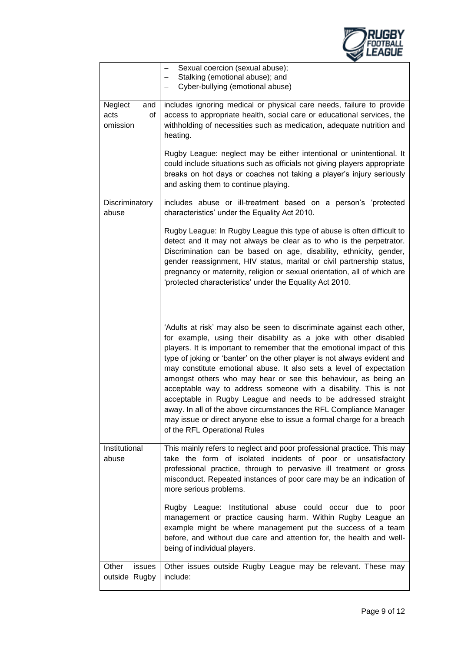

|                                          | Sexual coercion (sexual abuse);<br>Stalking (emotional abuse); and<br>Cyber-bullying (emotional abuse)                                                                                                                                                                                                                                                                                                                                                                                                                                                                                                                                                                                                                                                        |
|------------------------------------------|---------------------------------------------------------------------------------------------------------------------------------------------------------------------------------------------------------------------------------------------------------------------------------------------------------------------------------------------------------------------------------------------------------------------------------------------------------------------------------------------------------------------------------------------------------------------------------------------------------------------------------------------------------------------------------------------------------------------------------------------------------------|
| Neglect<br>and<br>acts<br>0f<br>omission | includes ignoring medical or physical care needs, failure to provide<br>access to appropriate health, social care or educational services, the<br>withholding of necessities such as medication, adequate nutrition and<br>heating.                                                                                                                                                                                                                                                                                                                                                                                                                                                                                                                           |
|                                          | Rugby League: neglect may be either intentional or unintentional. It<br>could include situations such as officials not giving players appropriate<br>breaks on hot days or coaches not taking a player's injury seriously<br>and asking them to continue playing.                                                                                                                                                                                                                                                                                                                                                                                                                                                                                             |
| Discriminatory<br>abuse                  | includes abuse or ill-treatment based on a person's 'protected<br>characteristics' under the Equality Act 2010.                                                                                                                                                                                                                                                                                                                                                                                                                                                                                                                                                                                                                                               |
|                                          | Rugby League: In Rugby League this type of abuse is often difficult to<br>detect and it may not always be clear as to who is the perpetrator.<br>Discrimination can be based on age, disability, ethnicity, gender,<br>gender reassignment, HIV status, marital or civil partnership status,<br>pregnancy or maternity, religion or sexual orientation, all of which are<br>'protected characteristics' under the Equality Act 2010.                                                                                                                                                                                                                                                                                                                          |
|                                          |                                                                                                                                                                                                                                                                                                                                                                                                                                                                                                                                                                                                                                                                                                                                                               |
|                                          | 'Adults at risk' may also be seen to discriminate against each other,<br>for example, using their disability as a joke with other disabled<br>players. It is important to remember that the emotional impact of this<br>type of joking or 'banter' on the other player is not always evident and<br>may constitute emotional abuse. It also sets a level of expectation<br>amongst others who may hear or see this behaviour, as being an<br>acceptable way to address someone with a disability. This is not<br>acceptable in Rugby League and needs to be addressed straight<br>away. In all of the above circumstances the RFL Compliance Manager<br>may issue or direct anyone else to issue a formal charge for a breach<br>of the RFL Operational Rules |
| Institutional<br>abuse                   | This mainly refers to neglect and poor professional practice. This may<br>take the form of isolated incidents of poor or unsatisfactory<br>professional practice, through to pervasive ill treatment or gross<br>misconduct. Repeated instances of poor care may be an indication of<br>more serious problems.                                                                                                                                                                                                                                                                                                                                                                                                                                                |
|                                          | Rugby League: Institutional abuse could occur due to poor<br>management or practice causing harm. Within Rugby League an<br>example might be where management put the success of a team<br>before, and without due care and attention for, the health and well-<br>being of individual players.                                                                                                                                                                                                                                                                                                                                                                                                                                                               |
| Other<br>issues<br>outside Rugby         | Other issues outside Rugby League may be relevant. These may<br>include:                                                                                                                                                                                                                                                                                                                                                                                                                                                                                                                                                                                                                                                                                      |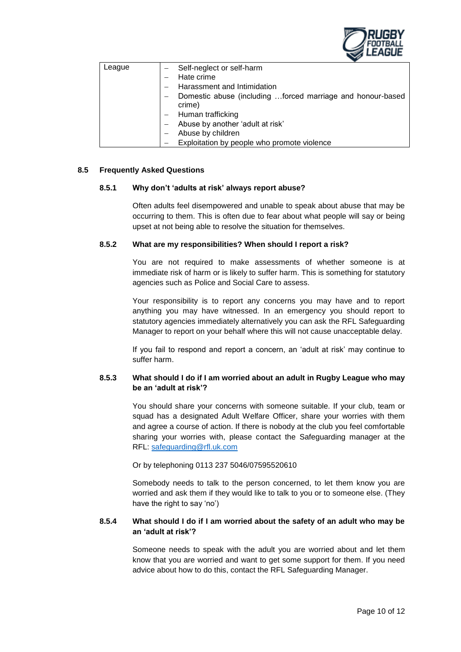

| League | Self-neglect or self-harm                                  |
|--------|------------------------------------------------------------|
|        | Hate crime                                                 |
|        | Harassment and Intimidation                                |
|        | Domestic abuse (including forced marriage and honour-based |
|        | crime)                                                     |
|        | $-$ Human trafficking                                      |
|        | Abuse by another 'adult at risk'                           |
|        | Abuse by children                                          |
|        | Exploitation by people who promote violence                |

## **8.5 Frequently Asked Questions**

#### **8.5.1 Why don't 'adults at risk' always report abuse?**

Often adults feel disempowered and unable to speak about abuse that may be occurring to them. This is often due to fear about what people will say or being upset at not being able to resolve the situation for themselves.

# **8.5.2 What are my responsibilities? When should I report a risk?**

You are not required to make assessments of whether someone is at immediate risk of harm or is likely to suffer harm. This is something for statutory agencies such as Police and Social Care to assess.

Your responsibility is to report any concerns you may have and to report anything you may have witnessed. In an emergency you should report to statutory agencies immediately alternatively you can ask the RFL Safeguarding Manager to report on your behalf where this will not cause unacceptable delay.

If you fail to respond and report a concern, an 'adult at risk' may continue to suffer harm.

# **8.5.3 What should I do if I am worried about an adult in Rugby League who may be an 'adult at risk'?**

You should share your concerns with someone suitable. If your club, team or squad has a designated Adult Welfare Officer, share your worries with them and agree a course of action. If there is nobody at the club you feel comfortable sharing your worries with, please contact the Safeguarding manager at the RFL: [safeguarding@rfl.uk.com](mailto:safeguarding@rfl.uk.com)

Or by telephoning 0113 237 5046/07595520610

Somebody needs to talk to the person concerned, to let them know you are worried and ask them if they would like to talk to you or to someone else. (They have the right to say 'no')

# **8.5.4 What should I do if I am worried about the safety of an adult who may be an 'adult at risk'?**

Someone needs to speak with the adult you are worried about and let them know that you are worried and want to get some support for them. If you need advice about how to do this, contact the RFL Safeguarding Manager.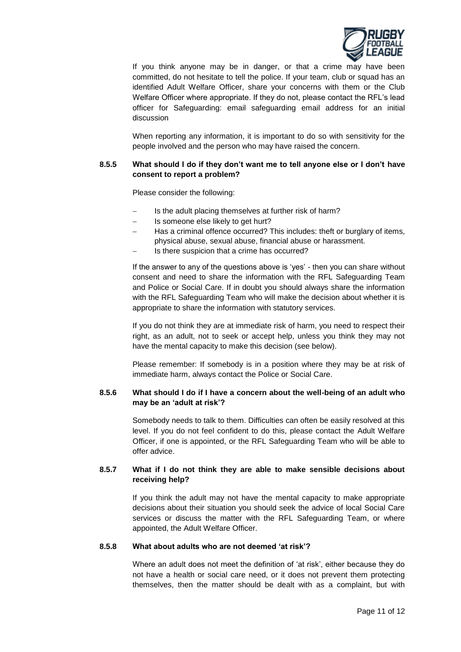

If you think anyone may be in danger, or that a crime may have been committed, do not hesitate to tell the police. If your team, club or squad has an identified Adult Welfare Officer, share your concerns with them or the Club Welfare Officer where appropriate. If they do not, please contact the RFL's lead officer for Safeguarding: email safeguarding email address for an initial discussion

When reporting any information, it is important to do so with sensitivity for the people involved and the person who may have raised the concern.

# **8.5.5 What should I do if they don't want me to tell anyone else or I don't have consent to report a problem?**

Please consider the following:

- Is the adult placing themselves at further risk of harm?
- Is someone else likely to get hurt?
- Has a criminal offence occurred? This includes: theft or burglary of items, physical abuse, sexual abuse, financial abuse or harassment.
- Is there suspicion that a crime has occurred?

If the answer to any of the questions above is 'yes' - then you can share without consent and need to share the information with the RFL Safeguarding Team and Police or Social Care. If in doubt you should always share the information with the RFL Safeguarding Team who will make the decision about whether it is appropriate to share the information with statutory services.

If you do not think they are at immediate risk of harm, you need to respect their right, as an adult, not to seek or accept help, unless you think they may not have the mental capacity to make this decision (see below).

Please remember: If somebody is in a position where they may be at risk of immediate harm, always contact the Police or Social Care.

# **8.5.6 What should I do if I have a concern about the well-being of an adult who may be an 'adult at risk'?**

Somebody needs to talk to them. Difficulties can often be easily resolved at this level. If you do not feel confident to do this, please contact the Adult Welfare Officer, if one is appointed, or the RFL Safeguarding Team who will be able to offer advice.

# **8.5.7 What if I do not think they are able to make sensible decisions about receiving help?**

If you think the adult may not have the mental capacity to make appropriate decisions about their situation you should seek the advice of local Social Care services or discuss the matter with the RFL Safeguarding Team, or where appointed, the Adult Welfare Officer.

## **8.5.8 What about adults who are not deemed 'at risk'?**

Where an adult does not meet the definition of 'at risk', either because they do not have a health or social care need, or it does not prevent them protecting themselves, then the matter should be dealt with as a complaint, but with